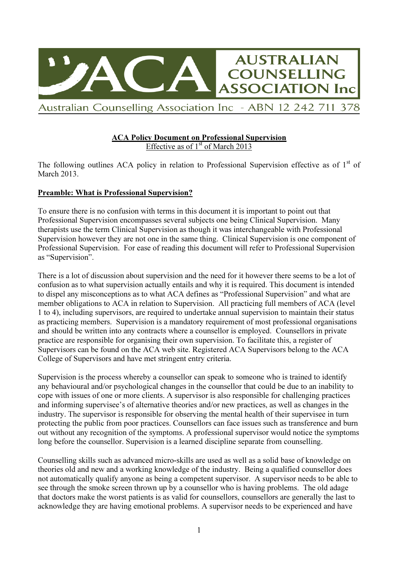

#### ACA Policy Document on Professional Supervision Effective as of  $1<sup>st</sup>$  of March 2013

The following outlines ACA policy in relation to Professional Supervision effective as of  $1<sup>st</sup>$  of March 2013.

# Preamble: What is Professional Supervision?

To ensure there is no confusion with terms in this document it is important to point out that Professional Supervision encompasses several subjects one being Clinical Supervision. Many therapists use the term Clinical Supervision as though it was interchangeable with Professional Supervision however they are not one in the same thing. Clinical Supervision is one component of Professional Supervision. For ease of reading this document will refer to Professional Supervision as "Supervision".

There is a lot of discussion about supervision and the need for it however there seems to be a lot of confusion as to what supervision actually entails and why it is required. This document is intended to dispel any misconceptions as to what ACA defines as "Professional Supervision" and what are member obligations to ACA in relation to Supervision. All practicing full members of ACA (level 1 to 4), including supervisors, are required to undertake annual supervision to maintain their status as practicing members. Supervision is a mandatory requirement of most professional organisations and should be written into any contracts where a counsellor is employed. Counsellors in private practice are responsible for organising their own supervision. To facilitate this, a register of Supervisors can be found on the ACA web site. Registered ACA Supervisors belong to the ACA College of Supervisors and have met stringent entry criteria.

Supervision is the process whereby a counsellor can speak to someone who is trained to identify any behavioural and/or psychological changes in the counsellor that could be due to an inability to cope with issues of one or more clients. A supervisor is also responsible for challenging practices and informing supervisee's of alternative theories and/or new practices, as well as changes in the industry. The supervisor is responsible for observing the mental health of their supervisee in turn protecting the public from poor practices. Counsellors can face issues such as transference and burn out without any recognition of the symptoms. A professional supervisor would notice the symptoms long before the counsellor. Supervision is a learned discipline separate from counselling.

Counselling skills such as advanced micro-skills are used as well as a solid base of knowledge on theories old and new and a working knowledge of the industry. Being a qualified counsellor does not automatically qualify anyone as being a competent supervisor. A supervisor needs to be able to see through the smoke screen thrown up by a counsellor who is having problems. The old adage that doctors make the worst patients is as valid for counsellors, counsellors are generally the last to acknowledge they are having emotional problems. A supervisor needs to be experienced and have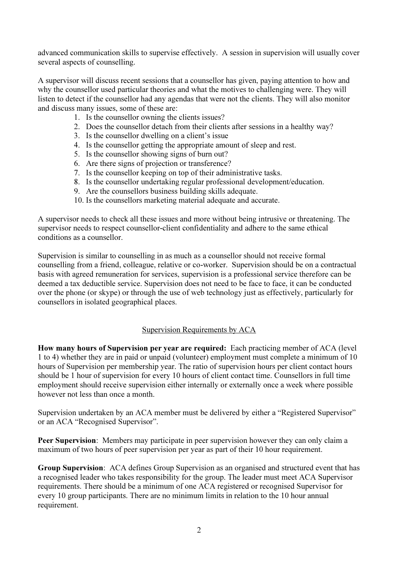advanced communication skills to supervise effectively. A session in supervision will usually cover several aspects of counselling.

A supervisor will discuss recent sessions that a counsellor has given, paying attention to how and why the counsellor used particular theories and what the motives to challenging were. They will listen to detect if the counsellor had any agendas that were not the clients. They will also monitor and discuss many issues, some of these are:

- 1. Is the counsellor owning the clients issues?
- 2. Does the counsellor detach from their clients after sessions in a healthy way?
- 3. Is the counsellor dwelling on a client's issue
- 4. Is the counsellor getting the appropriate amount of sleep and rest.
- 5. Is the counsellor showing signs of burn out?
- 6. Are there signs of projection or transference?
- 7. Is the counsellor keeping on top of their administrative tasks.
- 8. Is the counsellor undertaking regular professional development/education.
- 9. Are the counsellors business building skills adequate.
- 10. Is the counsellors marketing material adequate and accurate.

A supervisor needs to check all these issues and more without being intrusive or threatening. The supervisor needs to respect counsellor-client confidentiality and adhere to the same ethical conditions as a counsellor.

Supervision is similar to counselling in as much as a counsellor should not receive formal counselling from a friend, colleague, relative or co-worker. Supervision should be on a contractual basis with agreed remuneration for services, supervision is a professional service therefore can be deemed a tax deductible service. Supervision does not need to be face to face, it can be conducted over the phone (or skype) or through the use of web technology just as effectively, particularly for counsellors in isolated geographical places.

# Supervision Requirements by ACA

How many hours of Supervision per year are required: Each practicing member of ACA (level 1 to 4) whether they are in paid or unpaid (volunteer) employment must complete a minimum of 10 hours of Supervision per membership year. The ratio of supervision hours per client contact hours should be 1 hour of supervision for every 10 hours of client contact time. Counsellors in full time employment should receive supervision either internally or externally once a week where possible however not less than once a month.

Supervision undertaken by an ACA member must be delivered by either a "Registered Supervisor" or an ACA "Recognised Supervisor".

Peer Supervision: Members may participate in peer supervision however they can only claim a maximum of two hours of peer supervision per year as part of their 10 hour requirement.

Group Supervision: ACA defines Group Supervision as an organised and structured event that has a recognised leader who takes responsibility for the group. The leader must meet ACA Supervisor requirements. There should be a minimum of one ACA registered or recognised Supervisor for every 10 group participants. There are no minimum limits in relation to the 10 hour annual requirement.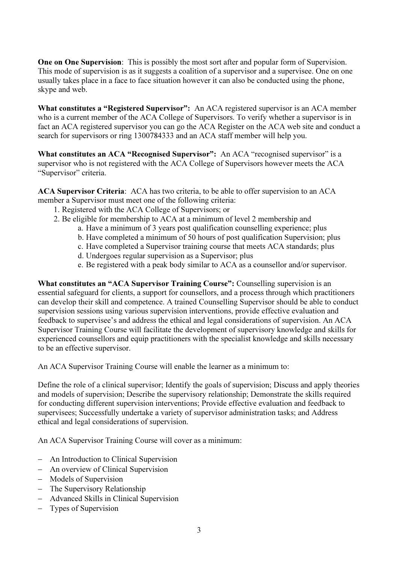One on One Supervision: This is possibly the most sort after and popular form of Supervision. This mode of supervision is as it suggests a coalition of a supervisor and a supervisee. One on one usually takes place in a face to face situation however it can also be conducted using the phone, skype and web.

What constitutes a "Registered Supervisor": An ACA registered supervisor is an ACA member who is a current member of the ACA College of Supervisors. To verify whether a supervisor is in fact an ACA registered supervisor you can go the ACA Register on the ACA web site and conduct a search for supervisors or ring 1300784333 and an ACA staff member will help you.

What constitutes an ACA "Recognised Supervisor": An ACA "recognised supervisor" is a supervisor who is not registered with the ACA College of Supervisors however meets the ACA "Supervisor" criteria.

ACA Supervisor Criteria: ACA has two criteria, to be able to offer supervision to an ACA member a Supervisor must meet one of the following criteria:

- 1. Registered with the ACA College of Supervisors; or
- 2. Be eligible for membership to ACA at a minimum of level 2 membership and
	- a. Have a minimum of 3 years post qualification counselling experience; plus
	- b. Have completed a minimum of 50 hours of post qualification Supervision; plus
	- c. Have completed a Supervisor training course that meets ACA standards; plus
	- d. Undergoes regular supervision as a Supervisor; plus
	- e. Be registered with a peak body similar to ACA as a counsellor and/or supervisor.

What constitutes an "ACA Supervisor Training Course": Counselling supervision is an essential safeguard for clients, a support for counsellors, and a process through which practitioners can develop their skill and competence. A trained Counselling Supervisor should be able to conduct supervision sessions using various supervision interventions, provide effective evaluation and feedback to supervisee's and address the ethical and legal considerations of supervision. An ACA Supervisor Training Course will facilitate the development of supervisory knowledge and skills for experienced counsellors and equip practitioners with the specialist knowledge and skills necessary to be an effective supervisor.

An ACA Supervisor Training Course will enable the learner as a minimum to:

Define the role of a clinical supervisor; Identify the goals of supervision; Discuss and apply theories and models of supervision; Describe the supervisory relationship; Demonstrate the skills required for conducting different supervision interventions; Provide effective evaluation and feedback to supervisees; Successfully undertake a variety of supervisor administration tasks; and Address ethical and legal considerations of supervision.

An ACA Supervisor Training Course will cover as a minimum:

- − An Introduction to Clinical Supervision
- − An overview of Clinical Supervision
- − Models of Supervision
- − The Supervisory Relationship
- − Advanced Skills in Clinical Supervision
- − Types of Supervision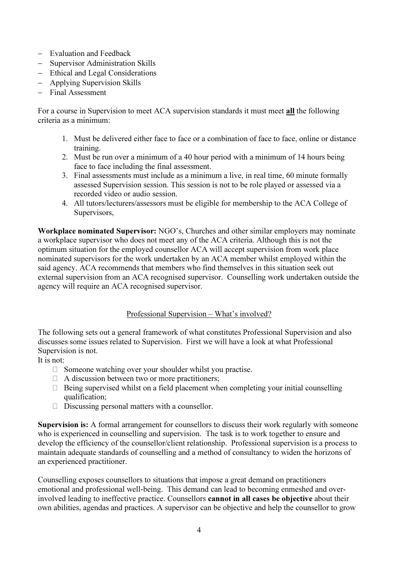- − Evaluation and Feedback
- − Supervisor Administration Skills
- − Ethical and Legal Considerations
- − Applying Supervision Skills
- − Final Assessment

For a course in Supervision to meet ACA supervision standards it must meet **all** the following criteria as a minimum:

- 1. Must be delivered either face to face or a combination of face to face, online or distance training.
- 2. Must be run over a minimum of a 40 hour period with a minimum of 14 hours being face to face including the final assessment.
- 3. Final assessments must include as a minimum a live, in real time, 60 minute formally assessed Supervision session. This session is not to be role played or assessed via a recorded video or audio session.
- 4. All tutors/lecturers/assessors must be eligible for membership to the ACA College of Supervisors,

Workplace nominated Supervisor: NGO's, Churches and other similar employers may nominate a workplace supervisor who does not meet any of the ACA criteria. Although this is not the optimum situation for the employed counsellor ACA will accept supervision from work place nominated supervisors for the work undertaken by an ACA member whilst employed within the said agency. ACA recommends that members who find themselves in this situation seek out external supervision from an ACA recognised supervisor. Counselling work undertaken outside the agency will require an ACA recognised supervisor.

# Professional Supervision – What's involved?

The following sets out a general framework of what constitutes Professional Supervision and also discusses some issues related to Supervision. First we will have a look at what Professional Supervision is not.

It is not:

- $\Box$  Someone watching over your shoulder whilst you practise.
- $\Box$  A discussion between two or more practitioners:
- $\Box$  Being supervised whilst on a field placement when completing your initial counselling qualification;
- $\Box$  Discussing personal matters with a counsellor.

Supervision is: A formal arrangement for counsellors to discuss their work regularly with someone who is experienced in counselling and supervision. The task is to work together to ensure and develop the efficiency of the counsellor/client relationship. Professional supervision is a process to maintain adequate standards of counselling and a method of consultancy to widen the horizons of an experienced practitioner.

Counselling exposes counsellors to situations that impose a great demand on practitioners emotional and professional well-being. This demand can lead to becoming enmeshed and overinvolved leading to ineffective practice. Counsellors cannot in all cases be objective about their own abilities, agendas and practices. A supervisor can be objective and help the counsellor to grow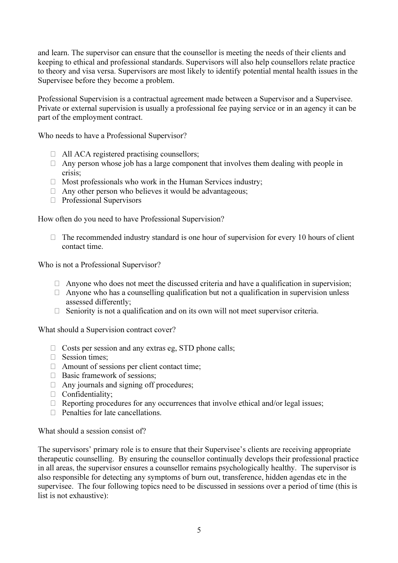and learn. The supervisor can ensure that the counsellor is meeting the needs of their clients and keeping to ethical and professional standards. Supervisors will also help counsellors relate practice to theory and visa versa. Supervisors are most likely to identify potential mental health issues in the Supervisee before they become a problem.

Professional Supervision is a contractual agreement made between a Supervisor and a Supervisee. Private or external supervision is usually a professional fee paying service or in an agency it can be part of the employment contract.

Who needs to have a Professional Supervisor?

- $\Box$  All ACA registered practising counsellors;
- $\Box$  Any person whose job has a large component that involves them dealing with people in crisis;
- $\Box$  Most professionals who work in the Human Services industry;
- $\Box$  Any other person who believes it would be advantageous;
- E Professional Supervisors

How often do you need to have Professional Supervision?

 $\Box$  The recommended industry standard is one hour of supervision for every 10 hours of client contact time.

Who is not a Professional Supervisor?

- $\Box$  Anyone who does not meet the discussed criteria and have a qualification in supervision;
- $\Box$  Anyone who has a counselling qualification but not a qualification in supervision unless assessed differently;
- $\Box$  Seniority is not a qualification and on its own will not meet supervisor criteria.

What should a Supervision contract cover?

- $\Box$  Costs per session and any extras eg, STD phone calls;
- $\Box$  Session times:
- $\Box$  Amount of sessions per client contact time;
- □ Basic framework of sessions;
- $\Box$  Any journals and signing off procedures;
- E Confidentiality;
- $\Box$  Reporting procedures for any occurrences that involve ethical and/or legal issues;
- $\Box$  Penalties for late cancellations.

What should a session consist of?

The supervisors' primary role is to ensure that their Supervisee's clients are receiving appropriate therapeutic counselling. By ensuring the counsellor continually develops their professional practice in all areas, the supervisor ensures a counsellor remains psychologically healthy. The supervisor is also responsible for detecting any symptoms of burn out, transference, hidden agendas etc in the supervisee. The four following topics need to be discussed in sessions over a period of time (this is list is not exhaustive):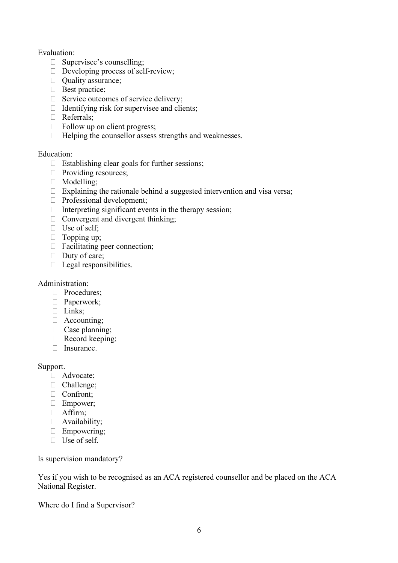### Evaluation:

- □ Supervisee's counselling;
- $\Box$  Developing process of self-review;
- E Quality assurance;
- E Best practice;
- E Service outcomes of service delivery;
- $\Box$  Identifying risk for supervisee and clients;
- E Referrals;
- $\Box$  Follow up on client progress;
- $\Box$  Helping the counsellor assess strengths and weaknesses.

#### Education:

- $\Box$  Establishing clear goals for further sessions;
- $\Box$  Providing resources;
- E Modelling;
- $\Box$  Explaining the rationale behind a suggested intervention and visa versa;
- E Professional development;
- $\Box$  Interpreting significant events in the therapy session:
- $\Box$  Convergent and divergent thinking;
- $\Box$  Use of self;
- $\Box$  Topping up;
- $\Box$  Facilitating peer connection;
- $\Box$  Duty of care;
- $\Box$  Legal responsibilities.

### Administration:

- □ Procedures:
- E Paperwork;
- E Links;
- E Accounting;
- $\Box$  Case planning;
- E Record keeping;
- E Insurance.

# Support.

- E Advocate;
- $\Box$  Challenge:
- E Confront;
- $\Box$  Empower;
- E Affirm;
- E Availability;
- $\Box$  Empowering:
- E Use of self.

Is supervision mandatory?

Yes if you wish to be recognised as an ACA registered counsellor and be placed on the ACA National Register.

Where do I find a Supervisor?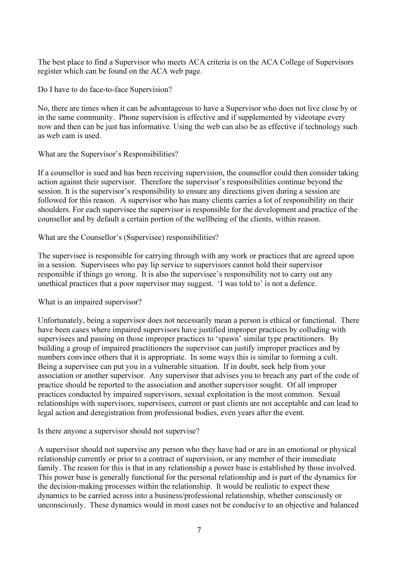The best place to find a Supervisor who meets ACA criteria is on the ACA College of Supervisors register which can be found on the ACA web page.

Do I have to do face-to-face Supervision?

No, there are times when it can be advantageous to have a Supervisor who does not live close by or in the same community. Phone supervision is effective and if supplemented by videotape every now and then can be just has informative. Using the web can also be as effective if technology such as web cam is used.

What are the Supervisor's Responsibilities?

If a counsellor is sued and has been receiving supervision, the counsellor could then consider taking action against their supervisor. Therefore the supervisor's responsibilities continue beyond the session. It is the supervisor's responsibility to ensure any directions given during a session are followed for this reason. A supervisor who has many clients carries a lot of responsibility on their shoulders. For each supervisee the supervisor is responsible for the development and practice of the counsellor and by default a certain portion of the wellbeing of the clients, within reason.

### What are the Counsellor's (Supervisee) responsibilities?

The supervisee is responsible for carrying through with any work or practices that are agreed upon in a session. Supervisees who pay lip service to supervisors cannot hold their supervisor responsible if things go wrong. It is also the supervisee's responsibility not to carry out any unethical practices that a poor supervisor may suggest. 'I was told to' is not a defence.

What is an impaired supervisor?

Unfortunately, being a supervisor does not necessarily mean a person is ethical or functional. There have been cases where impaired supervisors have justified improper practices by colluding with supervisees and passing on those improper practices to 'spawn' similar type practitioners. By building a group of impaired practitioners the supervisor can justify improper practices and by numbers convince others that it is appropriate. In some ways this is similar to forming a cult. Being a supervisee can put you in a vulnerable situation. If in doubt, seek help from your association or another supervisor. Any supervisor that advises you to breach any part of the code of practice should be reported to the association and another supervisor sought. Of all improper practices conducted by impaired supervisors, sexual exploitation is the most common. Sexual relationships with supervisors, supervisees, current or past clients are not acceptable and can lead to legal action and deregistration from professional bodies, even years after the event.

Is there anyone a supervisor should not supervise?

A supervisor should not supervise any person who they have had or are in an emotional or physical relationship currently or prior to a contract of supervision, or any member of their immediate family. The reason for this is that in any relationship a power base is established by those involved. This power base is generally functional for the personal relationship and is part of the dynamics for the decision-making processes within the relationship. It would be realistic to expect these dynamics to be carried across into a business/professional relationship, whether consciously or unconsciously. These dynamics would in most cases not be conducive to an objective and balanced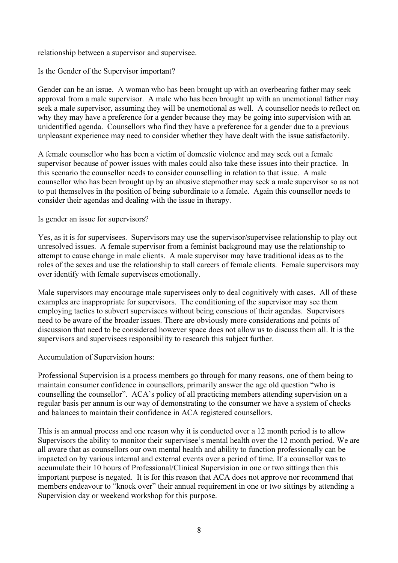relationship between a supervisor and supervisee.

Is the Gender of the Supervisor important?

Gender can be an issue. A woman who has been brought up with an overbearing father may seek approval from a male supervisor. A male who has been brought up with an unemotional father may seek a male supervisor, assuming they will be unemotional as well. A counsellor needs to reflect on why they may have a preference for a gender because they may be going into supervision with an unidentified agenda. Counsellors who find they have a preference for a gender due to a previous unpleasant experience may need to consider whether they have dealt with the issue satisfactorily.

A female counsellor who has been a victim of domestic violence and may seek out a female supervisor because of power issues with males could also take these issues into their practice. In this scenario the counsellor needs to consider counselling in relation to that issue. A male counsellor who has been brought up by an abusive stepmother may seek a male supervisor so as not to put themselves in the position of being subordinate to a female. Again this counsellor needs to consider their agendas and dealing with the issue in therapy.

### Is gender an issue for supervisors?

Yes, as it is for supervisees. Supervisors may use the supervisor/supervisee relationship to play out unresolved issues. A female supervisor from a feminist background may use the relationship to attempt to cause change in male clients. A male supervisor may have traditional ideas as to the roles of the sexes and use the relationship to stall careers of female clients. Female supervisors may over identify with female supervisees emotionally.

Male supervisors may encourage male supervisees only to deal cognitively with cases. All of these examples are inappropriate for supervisors. The conditioning of the supervisor may see them employing tactics to subvert supervisees without being conscious of their agendas. Supervisors need to be aware of the broader issues. There are obviously more considerations and points of discussion that need to be considered however space does not allow us to discuss them all. It is the supervisors and supervisees responsibility to research this subject further.

#### Accumulation of Supervision hours:

Professional Supervision is a process members go through for many reasons, one of them being to maintain consumer confidence in counsellors, primarily answer the age old question "who is counselling the counsellor". ACA's policy of all practicing members attending supervision on a regular basis per annum is our way of demonstrating to the consumer we have a system of checks and balances to maintain their confidence in ACA registered counsellors.

This is an annual process and one reason why it is conducted over a 12 month period is to allow Supervisors the ability to monitor their supervisee's mental health over the 12 month period. We are all aware that as counsellors our own mental health and ability to function professionally can be impacted on by various internal and external events over a period of time. If a counsellor was to accumulate their 10 hours of Professional/Clinical Supervision in one or two sittings then this important purpose is negated. It is for this reason that ACA does not approve nor recommend that members endeavour to "knock over" their annual requirement in one or two sittings by attending a Supervision day or weekend workshop for this purpose.